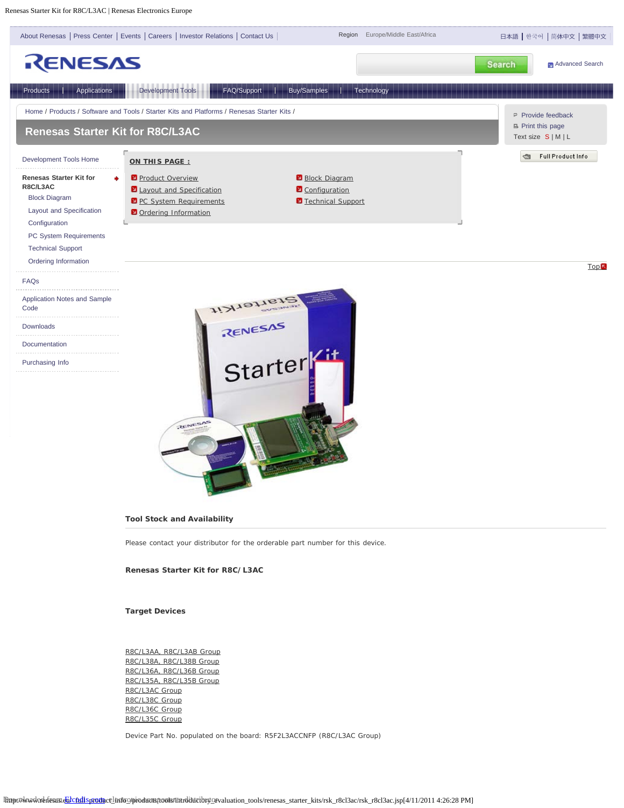Renesas Starter Kit for R8C/L3AC | Renesas Electronics Europe



## **Tool Stock and Availability**

Please contact your distributor for the orderable part number for this device.

#### **Renesas Starter Kit for R8C/L3AC**

**Target Devices**

R8C/L3AA, R8C/L3AB Group R8C/L38A, R8C/L38B Group R8C/L36A, R8C/L36B Group R8C/L35A, R8C/L35B Group R8C/L3AC Group R8C/L38C Group R8C/L36C Group R8C/L35C Group

Device Part No. populated on the board: R5F2L3ACCNFP (R8C/L3AC Group)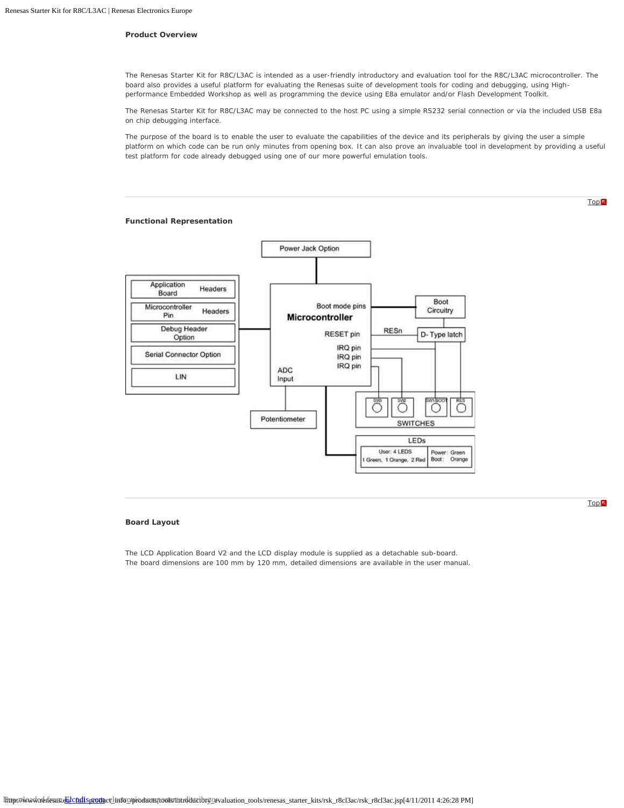## **Product Overview**

The Renesas Starter Kit for R8C/L3AC is intended as a user-friendly introductory and evaluation tool for the R8C/L3AC microcontroller. The board also provides a useful platform for evaluating the Renesas suite of development tools for coding and debugging, using Highperformance Embedded Workshop as well as programming the device using E8a emulator and/or Flash Development Toolkit.

The Renesas Starter Kit for R8C/L3AC may be connected to the host PC using a simple RS232 serial connection or via the included USB E8a on chip debugging interface.

The purpose of the board is to enable the user to evaluate the capabilities of the device and its peripherals by giving the user a simple platform on which code can be run only minutes from opening box. It can also prove an invaluable tool in development by providing a useful test platform for code already debugged using one of our more powerful emulation tools.

#### **Functional Representation**



## **Board Layout**

The LCD Application Board V2 and the LCD display module is supplied as a detachable sub-board. The board dimensions are 100 mm by 120 mm, detailed dimensions are available in the user manual. **Top** 

**Top**<sup></sup>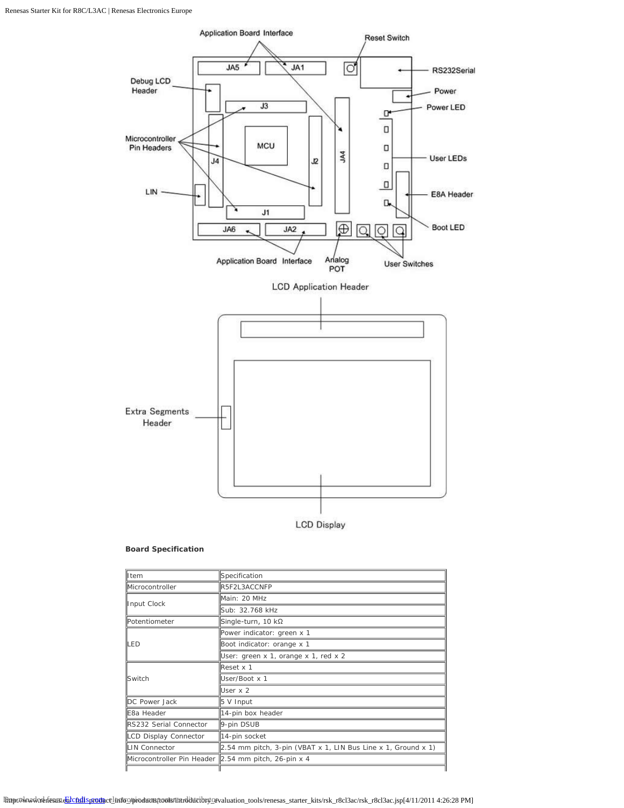

## **Board Specification**

| lltem                                                 | Specification                                                 |  |  |
|-------------------------------------------------------|---------------------------------------------------------------|--|--|
| Microcontroller                                       | R5F2L3ACCNFP                                                  |  |  |
|                                                       | Main: 20 MHz                                                  |  |  |
| Input Clock                                           | Sub: 32.768 kHz                                               |  |  |
| <b>IPotentiometer</b>                                 | Single-turn, 10 kΩ                                            |  |  |
|                                                       | Power indicator: green x 1                                    |  |  |
| <b>ED</b>                                             | Boot indicator: orange x 1                                    |  |  |
|                                                       | User: green x 1, orange x 1, red x 2                          |  |  |
|                                                       | Reset x 1                                                     |  |  |
| <b>I</b> Switch                                       | User/Boot x 1                                                 |  |  |
|                                                       | User x 2                                                      |  |  |
| DC Power Jack                                         | 5 V Input                                                     |  |  |
| 14-pin box header<br>IE8a Header                      |                                                               |  |  |
| RS232 Serial Connector                                | 9-pin DSUB                                                    |  |  |
| LCD Display Connector                                 | 14-pin socket                                                 |  |  |
| LIN Connector                                         | 2.54 mm pitch, 3-pin (VBAT x 1, LIN Bus Line x 1, Ground x 1) |  |  |
| Microcontroller Pin Header  2.54 mm pitch, 26-pin x 4 |                                                               |  |  |
|                                                       |                                                               |  |  |

Bayy.tokondcebdesandalcadis.promoclinito@pioducts/tools/finrditticibry\_evaluation\_tools/renesas\_starter\_kits/rsk\_r8cl3ac/rsk\_r8cl3ac.jsp[4/11/2011 4:26:28 PM]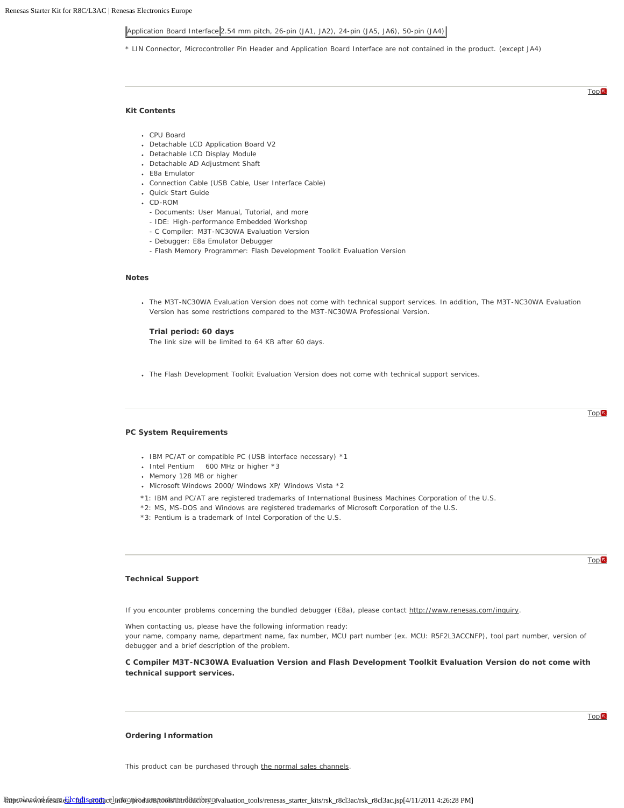# $\|$ Application Board Interface $\|$ 2.54 mm pitch, 26-pin (JA1, JA2), 24-pin (JA5, JA6), 50-pin (JA4) $\|$

\* LIN Connector, Microcontroller Pin Header and Application Board Interface are not contained in the product. (except JA4)

#### **Kit Contents**

- CPU Board
- Detachable LCD Application Board V2
- Detachable LCD Display Module
- Detachable AD Adjustment Shaft
- E8a Emulator
- Connection Cable (USB Cable, User Interface Cable)
- Quick Start Guide
- CD-ROM
	- Documents: User Manual, Tutorial, and more
	- IDE: High-performance Embedded Workshop
	- C Compiler: M3T-NC30WA Evaluation Version
	- Debugger: E8a Emulator Debugger
	- Flash Memory Programmer: Flash Development Toolkit Evaluation Version

#### **Notes**

The M3T-NC30WA Evaluation Version does not come with technical support services. In addition, The M3T-NC30WA Evaluation Version has some restrictions compared to the M3T-NC30WA Professional Version.

#### **Trial period: 60 days**

The link size will be limited to 64 KB after 60 days.

The Flash Development Toolkit Evaluation Version does not come with technical support services.

#### **PC System Requirements**

- IBM PC/AT or compatible PC (USB interface necessary) \*1
- Intel Pentium 600 MHz or higher \*3
- Memory 128 MB or higher
- Microsoft Windows 2000/ Windows XP/ Windows Vista \*2
- \*1: IBM and PC/AT are registered trademarks of International Business Machines Corporation of the U.S.
- \*2: MS, MS-DOS and Windows are registered trademarks of Microsoft Corporation of the U.S.
- \*3: Pentium is a trademark of Intel Corporation of the U.S.

### **Technical Support**

If you encounter problems concerning the bundled debugger (E8a), please contact http://www.renesas.com/inquiry.

When contacting us, please have the following information ready: your name, company name, department name, fax number, MCU part number (ex. MCU: R5F2L3ACCNFP), tool part number, version of debugger and a brief description of the problem.

**C Compiler M3T-NC30WA Evaluation Version and Flash Development Toolkit Evaluation Version do not come with technical support services.**

#### **Ordering Information**

This product can be purchased through the normal sales channels.

# **Top**

**Top** 

# **Top**